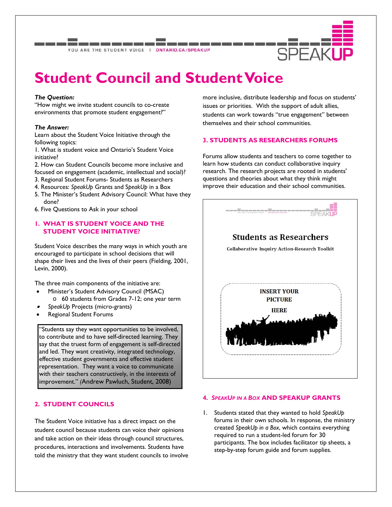YOU ARE THE STUDENT VOICE | ONTARIO.CA/SPEAKUP



# **Student Council and Student Voice**

#### *The Question:*

"How might we invite student councils to co-create environments that promote student engagement?"

#### *The Answer:*

Learn about the Student Voice Initiative through the following topics:

1. What is student voice and Ontario's Student Voice initiative?

2. How can Student Councils become more inclusive and focused on engagement (academic, intellectual and social)?

- 3. Regional Student Forums- Students as Researchers
- 4. Resources: *SpeakUp* Grants and S*peakUp* in a Box
- 5. The Minister's Student Advisory Council: What have they done?
- 6. Five Questions to Ask in your school

# **1. WHAT IS STUDENT VOICE AND THE STUDENT VOICE INITIATIVE?**

Student Voice describes the many ways in which youth are encouraged to participate in school decisions that will shape their lives and the lives of their peers (Fielding, 2001, Levin, 2000).

The three main components of the initiative are:

- Minister's Student Advisory Council (MSAC)
	- o 60 students from Grades 7-12; one year term
- . *SpeakUp* Projects (micro-grants)
- Regional Student Forums

"Students say they want opportunities to be involved, to contribute and to have self-directed learning. They say that the truest form of engagement is self-directed and led. They want creativity, integrated technology, effective student governments and effective student representation. They want a voice to communicate with their teachers constructively, in the interests of improvement." *(*Andrew Pawluch, Student, 2008)

# **2. STUDENT COUNCILS**

The Student Voice initiative has a direct impact on the student council because students can voice their opinions and take action on their ideas through council structures, procedures, interactions and involvements. Students have told the ministry that they want student councils to involve more inclusive, distribute leadership and focus on students' issues or priorities. With the support of adult allies, students can work towards "true engagement" between themselves and their school communities.

## **3. STUDENTS AS RESEARCHERS FORUMS**

Forums allow students and teachers to come together to learn how students can conduct collaborative inquiry research. The research projects are rooted in students' questions and theories about what they think might improve their education and their school communities.



#### **4.** *SPEAKUP IN A BOX* **AND SPEAKUP GRANTS**

1. Students stated that they wanted to hold *SpeakUp* forums in their own schools. In response, the ministry created *SpeakUp in a Box*, which contains everything required to run a student-led forum for 30 participants. The box includes facilitator tip sheets, a step-by-step forum guide and forum supplies.